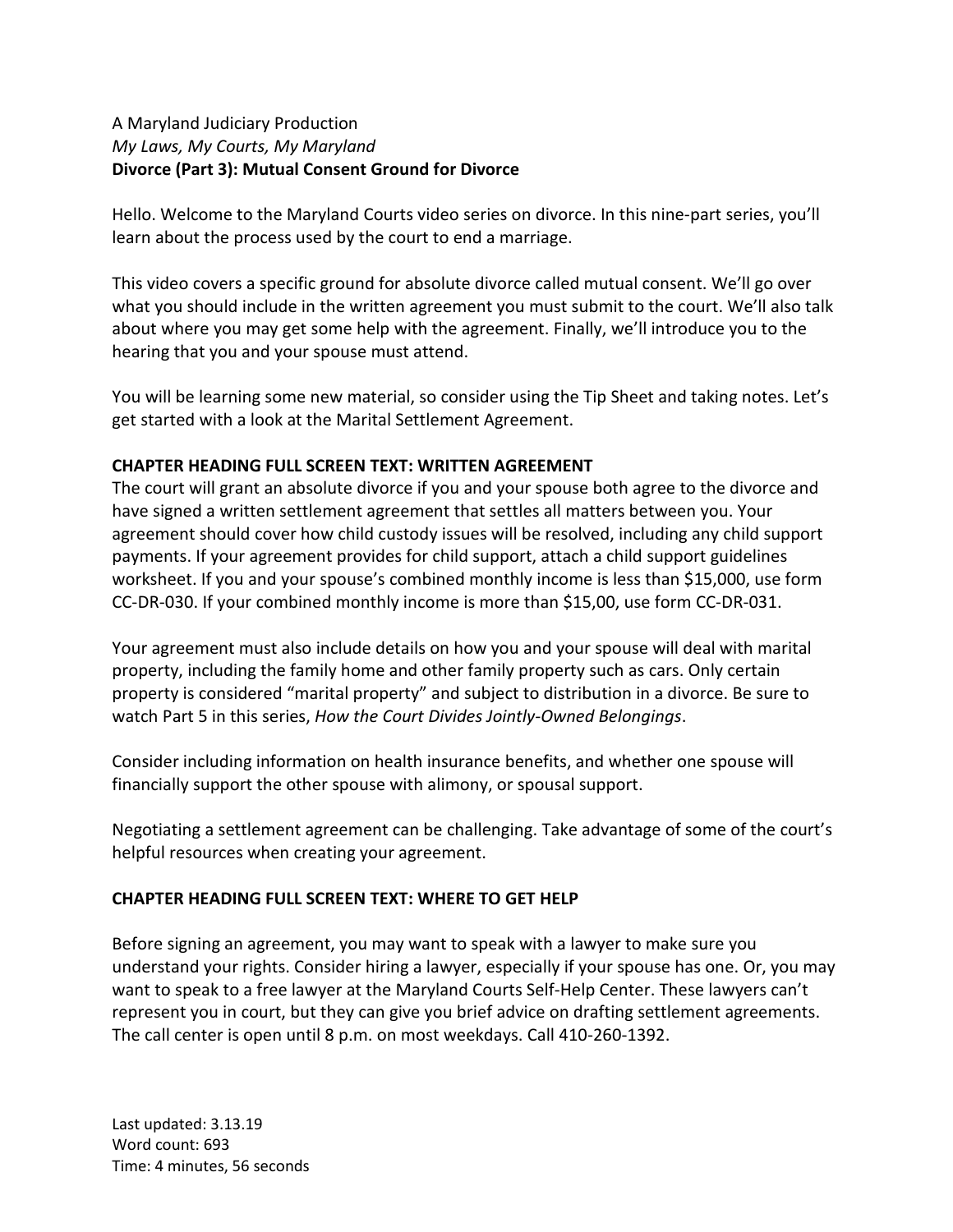### A Maryland Judiciary Production *My Laws, My Courts, My Maryland* **Divorce (Part 3): Mutual Consent Ground for Divorce**

Hello. Welcome to the Maryland Courts video series on divorce. In this nine-part series, you'll learn about the process used by the court to end a marriage.

This video covers a specific ground for absolute divorce called mutual consent. We'll go over what you should include in the written agreement you must submit to the court. We'll also talk about where you may get some help with the agreement. Finally, we'll introduce you to the hearing that you and your spouse must attend.

You will be learning some new material, so consider using the Tip Sheet and taking notes. Let's get started with a look at the Marital Settlement Agreement.

# **CHAPTER HEADING FULL SCREEN TEXT: WRITTEN AGREEMENT**

The court will grant an absolute divorce if you and your spouse both agree to the divorce and have signed a written settlement agreement that settles all matters between you. Your agreement should cover how child custody issues will be resolved, including any child support payments. If your agreement provides for child support, attach a child support guidelines worksheet. If you and your spouse's combined monthly income is less than \$15,000, use form CC-DR-030. If your combined monthly income is more than \$15,00, use form CC-DR-031.

Your agreement must also include details on how you and your spouse will deal with marital property, including the family home and other family property such as cars. Only certain property is considered "marital property" and subject to distribution in a divorce. Be sure to watch Part 5 in this series, *How the Court Divides Jointly-Owned Belongings*.

Consider including information on health insurance benefits, and whether one spouse will financially support the other spouse with alimony, or spousal support.

Negotiating a settlement agreement can be challenging. Take advantage of some of the court's helpful resources when creating your agreement.

# **CHAPTER HEADING FULL SCREEN TEXT: WHERE TO GET HELP**

Before signing an agreement, you may want to speak with a lawyer to make sure you understand your rights. Consider hiring a lawyer, especially if your spouse has one. Or, you may want to speak to a free lawyer at the Maryland Courts Self-Help Center. These lawyers can't represent you in court, but they can give you brief advice on drafting settlement agreements. The call center is open until 8 p.m. on most weekdays. Call 410-260-1392.